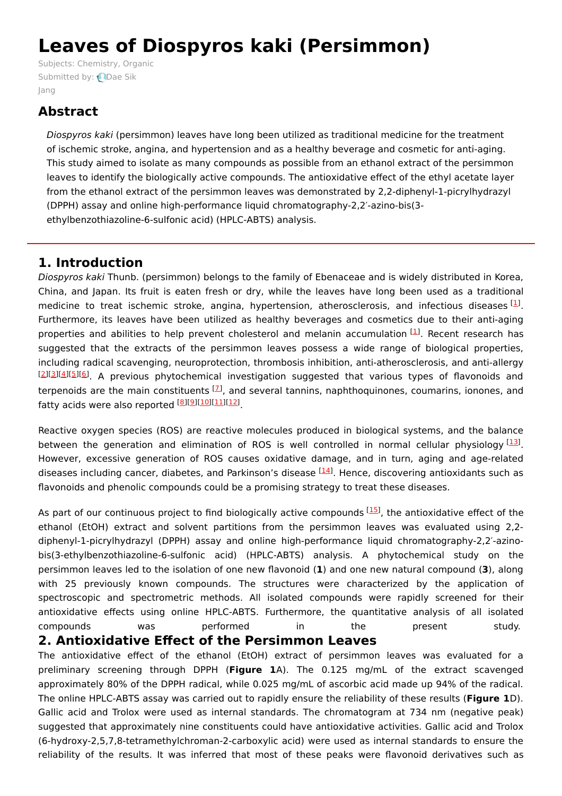# **Leaves of Diospyros kaki (Persimmon)**

Subjects: [Chemistry,](https://encyclopedia.pub/item/subject/46) Organic [Submitted](https://sciprofiles.com/profile/163497) by: **Dae Sik** Jang

# **Abstract**

Diospyros kaki (persimmon) leaves have long been utilized as traditional medicine for the treatment of ischemic stroke, angina, and hypertension and as a healthy beverage and cosmetic for anti-aging. This study aimed to isolate as many compounds as possible from an ethanol extract of the persimmon leaves to identify the biologically active compounds. The antioxidative effect of the ethyl acetate layer from the ethanol extract of the persimmon leaves was demonstrated by 2,2-diphenyl-1-picrylhydrazyl (DPPH) assay and online high-performance liquid chromatography-2,2′-azino-bis(3 ethylbenzothiazoline-6-sulfonic acid) (HPLC-ABTS) analysis.

# **1. Introduction**

Diospyros kaki Thunb. (persimmon) belongs to the family of Ebenaceae and is widely distributed in Korea, China, and Japan. Its fruit is eaten fresh or dry, while the leaves have long been used as a traditional medicine to treat ischemic stroke, angina, hypertension, atherosclerosis, and infectious diseases  $^{[1]}$  $^{[1]}$  $^{[1]}$ . Furthermore, its leaves have been utilized as healthy beverages and cosmetics due to their anti-aging properties and abilities to help prevent cholesterol and melanin accumulation [\[1](#page-5-0)]. Recent research has suggested that the extracts of the persimmon leaves possess a wide range of biological properties, including radical scavenging, neuroprotection, thrombosis inhibition, anti-atherosclerosis, and anti-allergy [[2](#page-5-1)][\[3](#page-5-2)][\[4](#page-5-3)][[5](#page-5-4)][\[6](#page-5-5)]. A previous phytochemical investigation suggested that various types of flavonoids and terpenoids are the main constituents <sup>[\[7](#page-5-6)]</sup>, and several tannins, naphthoquinones, coumarins, ionones, and fatty acids were also reported [\[8](#page-5-7)][\[9](#page-5-8)][[10](#page-5-9)][\[11](#page-5-10)][[12](#page-6-0)]

Reactive oxygen species (ROS) are reactive molecules produced in biological systems, and the balance between the generation and elimination of ROS is well controlled in normal cellular physiology  $^{[13]}$  $^{[13]}$  $^{[13]}$ . However, excessive generation of ROS causes oxidative damage, and in turn, aging and age-related diseases including cancer, diabetes, and Parkinson's disease <sup>[\[14\]](#page-6-2)</sup>. Hence, discovering antioxidants such as flavonoids and phenolic compounds could be a promising strategy to treat these diseases.

As part of our continuous project to find biologically active compounds  $^{[15]}$  $^{[15]}$  $^{[15]}$ , the antioxidative effect of the ethanol (EtOH) extract and solvent partitions from the persimmon leaves was evaluated using 2,2 diphenyl-1-picrylhydrazyl (DPPH) assay and online high-performance liquid chromatography-2,2′-azinobis(3-ethylbenzothiazoline-6-sulfonic acid) (HPLC-ABTS) analysis. A phytochemical study on the persimmon leaves led to the isolation of one new flavonoid (**1**) and one new natural compound (**3**), along with 25 previously known compounds. The structures were characterized by the application of spectroscopic and spectrometric methods. All isolated compounds were rapidly screened for their antioxidative effects using online HPLC-ABTS. Furthermore, the quantitative analysis of all isolated compounds was performed in the present study.

## **2. Antioxidative Effect of the Persimmon Leaves**

The antioxidative effect of the ethanol (EtOH) extract of persimmon leaves was evaluated for a preliminary screening through DPPH (**Figure 1**A). The 0.125 mg/mL of the extract scavenged approximately 80% of the DPPH radical, while 0.025 mg/mL of ascorbic acid made up 94% of the radical. The online HPLC-ABTS assay was carried out to rapidly ensure the reliability of these results (**Figure 1**D). Gallic acid and Trolox were used as internal standards. The chromatogram at 734 nm (negative peak) suggested that approximately nine constituents could have antioxidative activities. Gallic acid and Trolox (6-hydroxy-2,5,7,8-tetramethylchroman-2-carboxylic acid) were used as internal standards to ensure the reliability of the results. It was inferred that most of these peaks were flavonoid derivatives such as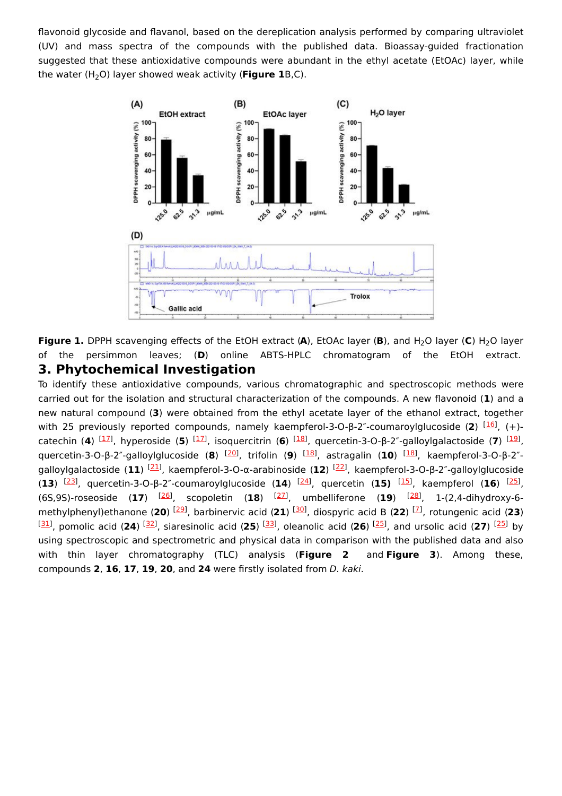flavonoid glycoside and flavanol, based on the dereplication analysis performed by comparing ultraviolet (UV) and mass spectra of the compounds with the published data. Bioassay-guided fractionation suggested that these antioxidative compounds were abundant in the ethyl acetate (EtOAc) layer, while the water (H<sub>2</sub>O) layer showed weak activity (**Figure 1**B,C).



**Figure 1.** DPPH scavenging effects of the EtOH extract (A), EtOAc layer (B), and H<sub>2</sub>O layer (C) H<sub>2</sub>O layer of the persimmon leaves; (**D**) online ABTS-HPLC chromatogram of the EtOH extract. **3. Phytochemical Investigation**

To identify these antioxidative compounds, various chromatographic and spectroscopic methods were carried out for the isolation and structural characterization of the compounds. A new flavonoid (**1**) and a new natural compound (**3**) were obtained from the ethyl acetate layer of the ethanol extract, together with 25 previously reported compounds, namely kaempferol-3-O-β-2<sup>"</sup>-coumaroylglucoside (2) <sup>[\[16\]](#page-6-4)</sup>, (+)-catechin (4) <sup>[\[17](#page-6-5)]</sup>, hyperoside (5) <sup>[17]</sup>, isoquercitrin (6) <sup>[[18](#page-6-6)]</sup>, quercetin-3-O-β-2″-galloylgalactoside (7) <sup>[\[19](#page-6-7)]</sup>, quercetin-3-O-β-2"-galloylglucoside (8) <sup>[[20\]](#page-6-8)</sup>, trifolin (9) <sup>[\[18](#page-6-6)]</sup>, astragalin (10) <sup>[[18](#page-6-6)]</sup>, kaempferol-3-O-β-2"-galloylgalactoside (11) <sup>[\[21](#page-6-9)]</sup>, kaempferol-3-O-α-arabinoside (12) <sup>[[22](#page-6-10)]</sup>, kaempferol-3-O-β-2"-galloylglucoside (13) <sup>[\[23\]](#page-6-11)</sup>, quercetin-3-O-β-2<sup>"</sup>-coumaroylglucoside (14) <sup>[\[24](#page-6-12)]</sup>, quercetin (15) <sup>[\[15\]](#page-6-3)</sup>, kaempferol (16) <sup>[\[25](#page-6-13)]</sup>, (6S,9S)-roseoside (17) <sup>[\[26](#page-6-14)]</sup>, scopoletin (18) <sup>[\[27](#page-6-15)]</sup>, umbelliferone (19) <sup>[[28](#page-6-16)]</sup>, 1-(2,4-dihydroxy-6-methylphenyl)ethanone (20) <sup>[\[29](#page-6-17)]</sup>, barbinervic acid (21) <sup>[[30\]](#page-6-18)</sup>, diospyric acid B (22) <sup>[[7](#page-5-6)]</sup>, rotungenic acid (23) [[31](#page-6-19)], pomolic acid (24) <sup>[\[32\]](#page-6-20)</sup>, siaresinolic acid (25) <sup>[\[33](#page-6-21)]</sup>, oleanolic acid (26) <sup>[[25](#page-6-13)]</sup>, and ursolic acid (27) <sup>[25]</sup> by using spectroscopic and spectrometric and physical data in comparison with the published data and also with thin layer chromatography (TLC) analysis (**Figure 2** and **Figure 3**). Among these, compounds **2**, **16**, **17**, **19**, **20**, and **24** were firstly isolated from D. kaki.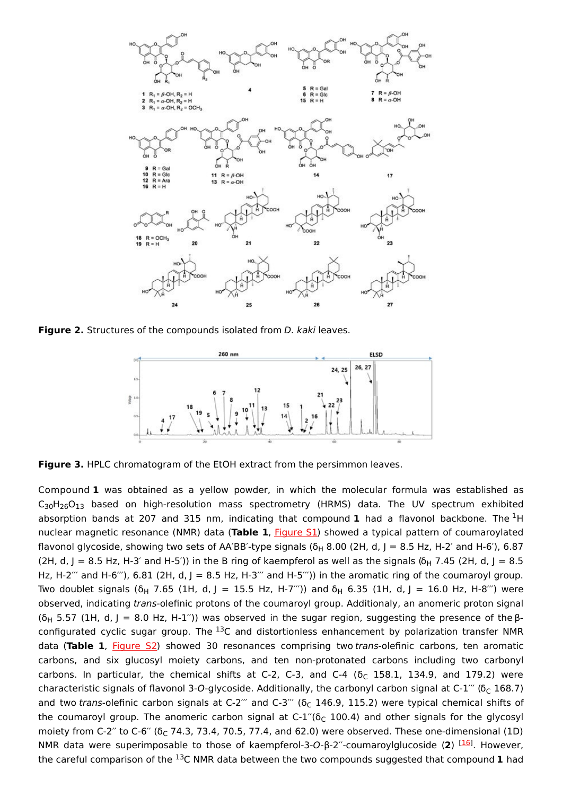

**Figure 2.** Structures of the compounds isolated from D. kaki leaves.



**Figure 3.** HPLC chromatogram of the EtOH extract from the persimmon leaves.

Compound **1** was obtained as a yellow powder, in which the molecular formula was established as  $\mathsf{C}_{30}\mathsf{H}_{26}\mathsf{O}_{13}$  based on high-resolution mass spectrometry (HRMS) data. The UV spectrum exhibited absorption bands at 207 and 315 nm, indicating that compound **1** had a flavonol backbone. The <sup>1</sup>H nuclear magnetic resonance (NMR) data (**Table 1**, [Figure](https://www.mdpi.com/2223-7747/10/10/2032/htm#app1-plants-10-02032) S1) showed a typical pattern of coumaroylated flavonol glycoside, showing two sets of AA´BB´-type signals (δ<sub>H</sub> 8.00 (2H, d, J = 8.5 Hz, H-2´ and H-6´), 6.87 (2H, d, J = 8.5 Hz, H-3' and H-5')) in the B ring of kaempferol as well as the signals (6<sub>H</sub> 7.45 (2H, d, J = 8.5 Hz, H-2<sup> $\degree$ </sup> and H-6 $\degree$ ), 6.81 (2H, d, J = 8.5 Hz, H-3 $\degree$  and H-5 $\degree$ )) in the aromatic ring of the coumaroyl group. Two doublet signals (δ<sub>H</sub> 7.65 (1H, d, J = 15.5 Hz, H-7´´´)) and δ<sub>H</sub> 6.35 (1H, d, J = 16.0 Hz, H-8´´´) were observed, indicating trans-olefinic protons of the coumaroyl group. Additionaly, an anomeric proton signal (δ<sub>H</sub> 5.57 (1H, d, J = 8.0 Hz, H-1″)) was observed in the sugar region, suggesting the presence of the βconfigurated cyclic sugar group. The <sup>13</sup>C and distortionless enhancement by polarization transfer NMR data (**Table 1**, [Figure](https://www.mdpi.com/2223-7747/10/10/2032/htm#app1-plants-10-02032) S2) showed 30 resonances comprising two trans-olefinic carbons, ten aromatic carbons, and six glucosyl moiety carbons, and ten non-protonated carbons including two carbonyl carbons. In particular, the chemical shifts at C-2, C-3, and C-4 ( $\delta_C$  158.1, 134.9, and 179.2) were characteristic signals of flavonol 3-O-glycoside. Additionally, the carbonyl carbon signal at C-1 $^{\prime\prime}$  (δ $_{\rm C}$  168.7) and two trans-olefinic carbon signals at C-2´´´ and C-3´´´ ( $\delta_{\rm C}$  146.9, 115.2) were typical chemical shifts of the coumaroyl group. The anomeric carbon signal at C-1″( $\delta_{\text{C}}$  100.4) and other signals for the glycosyl moiety from C-2" to C-6" ( $\delta_{\text{C}}$  74.3, 73.4, 70.5, 77.4, and 62.0) were observed. These one-dimensional (1D) NMR data were superimposable to those of kaempferol-3-O-β-2<sup>"</sup>-coumaroylglucoside (2) <sup>[\[16](#page-6-4)]</sup>. However, the careful comparison of the  $^{13}$ C NMR data between the two compounds suggested that compound  $1$  had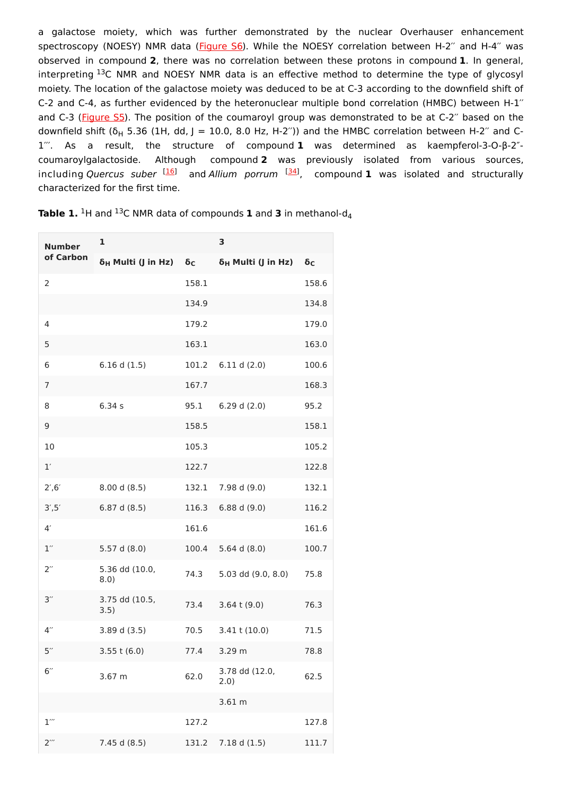a galactose moiety, which was further demonstrated by the nuclear Overhauser enhancement spectroscopy (NOESY) NMR data ([Figure](https://www.mdpi.com/2223-7747/10/10/2032/htm#app1-plants-10-02032) S6). While the NOESY correlation between H-2" and H-4" was observed in compound **2**, there was no correlation between these protons in compound **1**. In general, interpreting  $^{13}$ C NMR and NOESY NMR data is an effective method to determine the type of glycosyl moiety. The location of the galactose moiety was deduced to be at C-3 according to the downfield shift of C-2 and C-4, as further evidenced by the heteronuclear multiple bond correlation (HMBC) between H-1′′ and C-3 [\(Figure](https://www.mdpi.com/2223-7747/10/10/2032/htm#app1-plants-10-02032) S5). The position of the coumaroyl group was demonstrated to be at C-2" based on the downfield shift (δ<sub>H</sub> 5.36 (1H, dd, J = 10.0, 8.0 Hz, H-2″)) and the HMBC correlation between H-2″ and C-1′′′. As a result, the structure of compound **1** was determined as kaempferol-3-O-β-2″ coumaroylgalactoside. Although compound **2** was previously isolated from various sources, including Quercus suber <sup>[[16](#page-6-4)]</sup> and Allium porrum <sup>[\[34](#page-6-22)]</sup>, compound **1** was isolated and structurally characterized for the first time.

| <b>Number</b><br>of Carbon | 1                              |                  | 3                              |                  |
|----------------------------|--------------------------------|------------------|--------------------------------|------------------|
|                            | δ <sub>H</sub> Multi (J in Hz) | $\delta_{\rm C}$ | δ <sub>H</sub> Multi (J in Hz) | $\delta_{\rm C}$ |
| 2                          |                                | 158.1            |                                | 158.6            |
|                            |                                | 134.9            |                                | 134.8            |
| 4                          |                                | 179.2            |                                | 179.0            |
| 5                          |                                | 163.1            |                                | 163.0            |
| 6                          | 6.16 d(1.5)                    | 101.2            | 6.11 d(2.0)                    | 100.6            |
| 7                          |                                | 167.7            |                                | 168.3            |
| 8                          | 6.34s                          | 95.1             | 6.29 d(2.0)                    | 95.2             |
| 9                          |                                | 158.5            |                                | 158.1            |
| 10                         |                                | 105.3            |                                | 105.2            |
| 1'                         |                                | 122.7            |                                | 122.8            |
| 2', 6'                     | 8.00 d (8.5)                   | 132.1            | 7.98 d (9.0)                   | 132.1            |
| 3', 5'                     | 6.87 d (8.5)                   | 116.3            | 6.88 d(9.0)                    | 116.2            |
| 4 <sup>′</sup>             |                                | 161.6            |                                | 161.6            |
| 1''                        | 5.57 d (8.0)                   | 100.4            | 5.64 d $(8.0)$                 | 100.7            |
| $2^{\prime\prime}$         | 5.36 dd (10.0,<br>8.0)         | 74.3             | 5.03 dd (9.0, 8.0)             | 75.8             |
| 3''                        | 3.75 dd (10.5,<br>3.5)         | 73.4             | $3.64$ t $(9.0)$               | 76.3             |
| $4^{\prime\prime}$         | 3.89 d (3.5)                   | 70.5             | $3.41$ t $(10.0)$              | 71.5             |
| 5''                        | $3.55$ t (6.0)                 | 77.4             | 3.29 m                         | 78.8             |
| 6''                        | 3.67 m                         | 62.0             | 3.78 dd (12.0,<br>2.0)         | 62.5             |
|                            |                                |                  | 3.61 m                         |                  |
| $1^{\prime\prime}$         |                                | 127.2            |                                | 127.8            |
| $2^{\prime\prime\prime}$   | 7.45 d (8.5)                   | 131.2            | 7.18 d(1.5)                    | 111.7            |

**Table 1.** <sup>1</sup>H and <sup>13</sup>C NMR data of compounds **1** and **3** in methanol-d<sub>4</sub>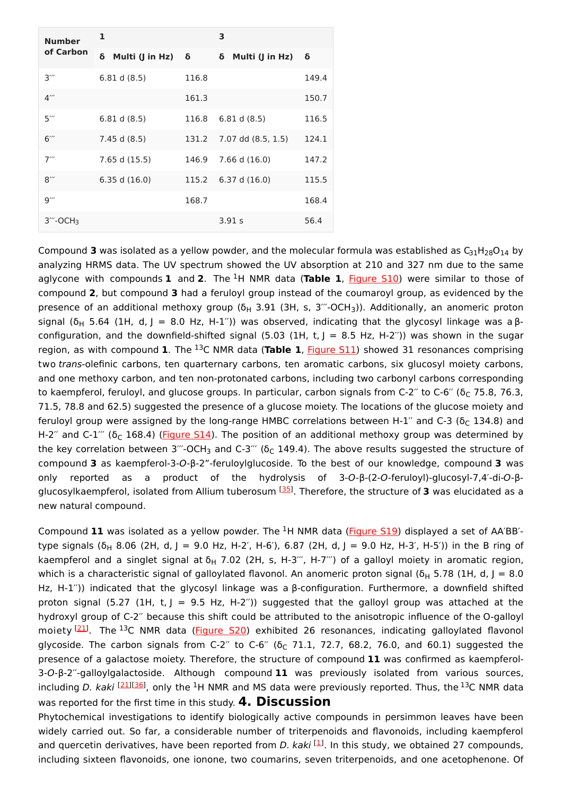| <b>Number</b><br>of Carbon                 | 1                      |       | 3                    |       |
|--------------------------------------------|------------------------|-------|----------------------|-------|
|                                            | δ<br>Multi (J in Hz) δ |       | Multi (J in Hz)<br>δ | δ     |
| $3^{\prime\prime\prime}$                   | 6.81 d(8.5)            | 116.8 |                      | 149.4 |
| $4^{\prime\prime\prime}$                   |                        | 161.3 |                      | 150.7 |
| $5^{\prime\prime\prime}$                   | 6.81 d(8.5)            | 116.8 | 6.81 d(8.5)          | 116.5 |
| $6$ "                                      | 7.45 d (8.5)           | 131.2 | 7.07 dd (8.5, 1.5)   | 124.1 |
| $7^{\prime\prime\prime}$                   | 7.65 d (15.5)          | 146.9 | $7.66$ d $(16.0)$    | 147.2 |
| $8^{\prime\prime\prime}$                   | 6.35 d(16.0)           | 115.2 | 6.37 d(16.0)         | 115.5 |
| $9^{\prime\prime\prime}$                   |                        | 168.7 |                      | 168.4 |
| $3^{\prime\prime\prime}$ -OCH <sub>3</sub> |                        |       | 3.91 s               | 56.4  |

Compound 3 was isolated as a yellow powder, and the molecular formula was established as  $C_{31}H_{28}O_{14}$  by analyzing HRMS data. The UV spectrum showed the UV absorption at 210 and 327 nm due to the same aglycone with compounds **1** and 2. The <sup>1</sup>H NMR data (Table 1, [Figure](https://www.mdpi.com/2223-7747/10/10/2032/htm#app1-plants-10-02032) S10) were similar to those of compound **2**, but compound **3** had a feruloyl group instead of the coumaroyl group, as evidenced by the presence of an additional methoxy group (δ<sub>H</sub> 3.91 (3H, s, 3´´´-OCH<sub>3</sub>)). Additionally, an anomeric proton signal (δ<sub>H</sub> 5.64 (1H, d, J = 8.0 Hz, H-1″)) was observed, indicating that the glycosyl linkage was a βconfiguration, and the downfield-shifted signal (5.03 (1H, t,  $J = 8.5$  Hz, H-2<sup>r</sup>)) was shown in the sugar region, as with compound 1. The <sup>13</sup>C NMR data (Table 1, [Figure](https://www.mdpi.com/2223-7747/10/10/2032/htm#app1-plants-10-02032) S11) showed 31 resonances comprising two trans-olefinic carbons, ten quarternary carbons, ten aromatic carbons, six glucosyl moiety carbons, and one methoxy carbon, and ten non-protonated carbons, including two carbonyl carbons corresponding to kaempferol, feruloyl, and glucose groups. In particular, carbon signals from C-2″ to C-6″ (δ $_{\rm C}$  75.8, 76.3, 71.5, 78.8 and 62.5) suggested the presence of a glucose moiety. The locations of the glucose moiety and feruloyl group were assigned by the long-range HMBC correlations between H-1″ and C-3 ( $\rm\delta_C$  134.8) and H-2″ and C-1′″ (δ<sub>C</sub> 168.4) (<mark>Figure S14</mark>). The position of an additional methoxy group was determined by the key correlation between 3′′′-OCH $_3$  and C-3′′′ (δ $_{\rm C}$  149.4). The above results suggested the structure of compound **3** as kaempferol-3-O-β-2"-feruloylglucoside. To the best of our knowledge, compound **3** was only reported as a product of the hydrolysis of 3-O-β-(2-O-feruloyl)-glucosyl-7,4′-di-O-β-glucosylkaempferol, isolated from Allium tuberosum <sup>[\[35\]](#page-6-23)</sup>. Therefore, the structure of 3 was elucidated as a new natural compound.

Compound 11 was isolated as a yellow powder. The <sup>1</sup>H NMR data [\(Figure](https://www.mdpi.com/2223-7747/10/10/2032/htm#app1-plants-10-02032) S19) displayed a set of AA'BB'type signals (δ<sub>H</sub> 8.06 (2H, d, J = 9.0 Hz, H-2′, H-6′), 6.87 (2H, d, J = 9.0 Hz, H-3′, H-5′)) in the B ring of kaempferol and a singlet signal at  $\delta_{\sf H}$  7.02 (2H, s, H-3 $^{\prime\prime\prime}$ , H-7 $^{\prime\prime\prime}$ ) of a galloyl moiety in aromatic region, which is a characteristic signal of galloylated flavonol. An anomeric proton signal (δ $_{\rm H}$  5.78 (1H, d, J = 8.0 Hz, H-1′′)) indicated that the glycosyl linkage was a β-configuration. Furthermore, a downfield shifted proton signal (5.27 (1H, t, J = 9.5 Hz, H-2")) suggested that the galloyl group was attached at the hydroxyl group of C-2′′ because this shift could be attributed to the anisotropic influence of the O-galloyl moiety <sup>[21]</sup>. The <sup>13</sup>C NMR data [\(Figure](https://www.mdpi.com/2223-7747/10/10/2032/htm#app1-plants-10-02032) S20) exhibited 26 resonances, indicating galloylated flavonol glycoside. The carbon signals from C-2″ to C-6″ (δ $_{\rm C}$  71.1, 72.7, 68.2, 76.0, and 60.1) suggested the presence of a galactose moiety. Therefore, the structure of compound **11** was confirmed as kaempferol-3-O-β-2′′-galloylgalactoside. Although compound **11** was previously isolated from various sources, including D. kaki <sup>[[21](#page-6-9)][\[36\]](#page-6-24)</sup>, only the <sup>1</sup>H NMR and MS data were previously reported. Thus, the <sup>13</sup>C NMR data was reported for the first time in this study. **4. Discussion**

Phytochemical investigations to identify biologically active compounds in persimmon leaves have been widely carried out. So far, a considerable number of triterpenoids and flavonoids, including kaempferol and quercetin derivatives, have been reported from *D. kaki* [\[1](#page-5-0)]. In this study, we obtained 27 compounds, including sixteen flavonoids, one ionone, two coumarins, seven triterpenoids, and one acetophenone. Of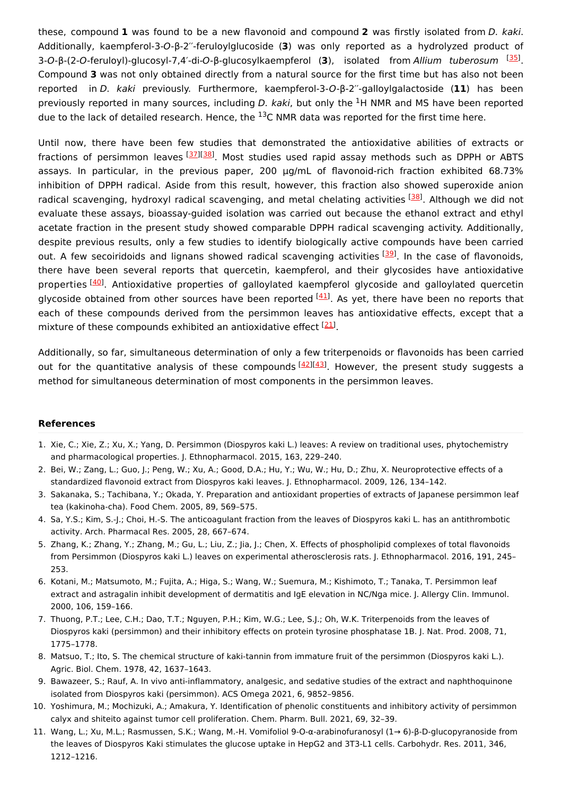these, compound **1** was found to be a new flavonoid and compound **2** was firstly isolated from D. kaki. Additionally, kaempferol-3-O-β-2′′-feruloylglucoside (**3**) was only reported as a hydrolyzed product of 3-O-β-(2-O-feruloyl)-glucosyl-7,4'-di-O-β-glucosylkaempferol (3), isolated from Allium tuberosum <sup>[\[35](#page-6-23)]</sup>. Compound **3** was not only obtained directly from a natural source for the first time but has also not been reported in D. kaki previously. Furthermore, kaempferol-3-O-β-2′′-galloylgalactoside (**11**) has been previously reported in many sources, including *D. kaki*, but only the <sup>1</sup>H NMR and MS have been reported due to the lack of detailed research. Hence, the  $^{13}$ C NMR data was reported for the first time here.

Until now, there have been few studies that demonstrated the antioxidative abilities of extracts or fractions of persimmon leaves [[37](#page-6-25)][\[38](#page-6-26)]. Most studies used rapid assay methods such as DPPH or ABTS assays. In particular, in the previous paper, 200 μg/mL of flavonoid-rich fraction exhibited 68.73% inhibition of DPPH radical. Aside from this result, however, this fraction also showed superoxide anion radical scavenging, hydroxyl radical scavenging, and metal chelating activities [\[38](#page-6-26)]. Although we did not evaluate these assays, bioassay-guided isolation was carried out because the ethanol extract and ethyl acetate fraction in the present study showed comparable DPPH radical scavenging activity. Additionally, despite previous results, only a few studies to identify biologically active compounds have been carried out. A few secoiridoids and lignans showed radical scavenging activities [\[39](#page-7-0)]. In the case of flavonoids, there have been several reports that quercetin, kaempferol, and their glycosides have antioxidative properties <sup>[[40](#page-7-1)]</sup>. Antioxidative properties of galloylated kaempferol glycoside and galloylated quercetin glycoside obtained from other sources have been reported [[41](#page-7-2)]. As yet, there have been no reports that each of these compounds derived from the persimmon leaves has antioxidative effects, except that a mixture of these compounds exhibited an antioxidative effect <sup>[[21](#page-6-9)]</sup>.

Additionally, so far, simultaneous determination of only a few triterpenoids or flavonoids has been carried out for the quantitative analysis of these compounds [[42\]](#page-7-3)[[43\]](#page-7-4). However, the present study suggests a method for simultaneous determination of most components in the persimmon leaves.

#### **References**

- <span id="page-5-0"></span>1. Xie, C.; Xie, Z.; Xu, X.; Yang, D. Persimmon (Diospyros kaki L.) leaves: A review on traditional uses, phytochemistry and pharmacological properties. J. Ethnopharmacol. 2015, 163, 229–240.
- <span id="page-5-1"></span>2. Bei, W.; Zang, L.; Guo, J.; Peng, W.; Xu, A.; Good, D.A.; Hu, Y.; Wu, W.; Hu, D.; Zhu, X. Neuroprotective effects of a standardized flavonoid extract from Diospyros kaki leaves. J. Ethnopharmacol. 2009, 126, 134–142.
- <span id="page-5-2"></span>3. Sakanaka, S.; Tachibana, Y.; Okada, Y. Preparation and antioxidant properties of extracts of Japanese persimmon leaf tea (kakinoha-cha). Food Chem. 2005, 89, 569–575.
- <span id="page-5-3"></span>4. Sa, Y.S.; Kim, S.-J.; Choi, H.-S. The anticoagulant fraction from the leaves of Diospyros kaki L. has an antithrombotic activity. Arch. Pharmacal Res. 2005, 28, 667–674.
- <span id="page-5-4"></span>5. Zhang, K.; Zhang, Y.; Zhang, M.; Gu, L.; Liu, Z.; Jia, J.; Chen, X. Effects of phospholipid complexes of total flavonoids from Persimmon (Diospyros kaki L.) leaves on experimental atherosclerosis rats. J. Ethnopharmacol. 2016, 191, 245– 253.
- <span id="page-5-5"></span>6. Kotani, M.; Matsumoto, M.; Fujita, A.; Higa, S.; Wang, W.; Suemura, M.; Kishimoto, T.; Tanaka, T. Persimmon leaf extract and astragalin inhibit development of dermatitis and IgE elevation in NC/Nga mice. J. Allergy Clin. Immunol. 2000, 106, 159–166.
- <span id="page-5-6"></span>7. Thuong, P.T.; Lee, C.H.; Dao, T.T.; Nguyen, P.H.; Kim, W.G.; Lee, S.J.; Oh, W.K. Triterpenoids from the leaves of Diospyros kaki (persimmon) and their inhibitory effects on protein tyrosine phosphatase 1B. J. Nat. Prod. 2008, 71, 1775–1778.
- <span id="page-5-7"></span>8. Matsuo, T.; Ito, S. The chemical structure of kaki-tannin from immature fruit of the persimmon (Diospyros kaki L.). Agric. Biol. Chem. 1978, 42, 1637–1643.
- <span id="page-5-8"></span>9. Bawazeer, S.; Rauf, A. In vivo anti-inflammatory, analgesic, and sedative studies of the extract and naphthoquinone isolated from Diospyros kaki (persimmon). ACS Omega 2021, 6, 9852–9856.
- <span id="page-5-9"></span>10. Yoshimura, M.; Mochizuki, A.; Amakura, Y. Identification of phenolic constituents and inhibitory activity of persimmon calyx and shiteito against tumor cell proliferation. Chem. Pharm. Bull. 2021, 69, 32–39.
- <span id="page-5-10"></span>11. Wang, L.; Xu, M.L.; Rasmussen, S.K.; Wang, M.-H. Vomifoliol 9-O-α-arabinofuranosyl (1→ 6)-β-D-glucopyranoside from the leaves of Diospyros Kaki stimulates the glucose uptake in HepG2 and 3T3-L1 cells. Carbohydr. Res. 2011, 346, 1212–1216.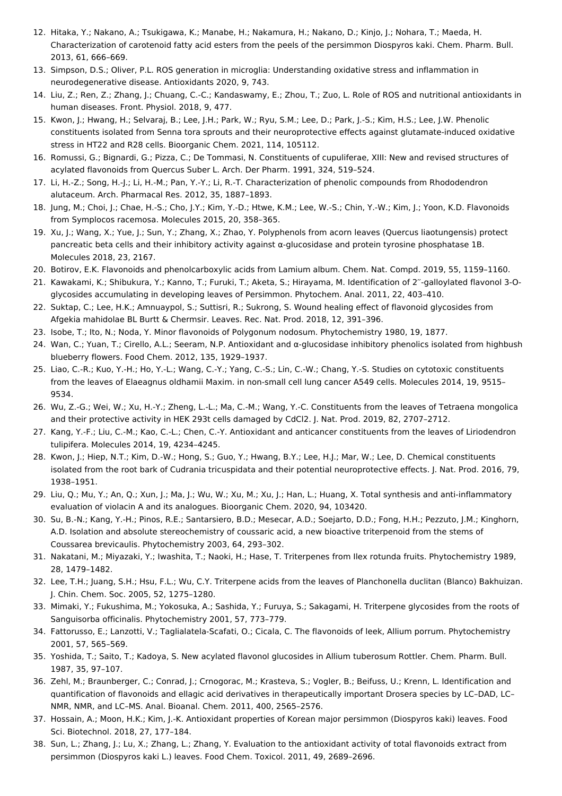- <span id="page-6-0"></span>12. Hitaka, Y.; Nakano, A.; Tsukigawa, K.; Manabe, H.; Nakamura, H.; Nakano, D.; Kinjo, J.; Nohara, T.; Maeda, H. Characterization of carotenoid fatty acid esters from the peels of the persimmon Diospyros kaki. Chem. Pharm. Bull. 2013, 61, 666–669.
- <span id="page-6-1"></span>13. Simpson, D.S.; Oliver, P.L. ROS generation in microglia: Understanding oxidative stress and inflammation in neurodegenerative disease. Antioxidants 2020, 9, 743.
- <span id="page-6-2"></span>14. Liu, Z.; Ren, Z.; Zhang, J.; Chuang, C.-C.; Kandaswamy, E.; Zhou, T.; Zuo, L. Role of ROS and nutritional antioxidants in human diseases. Front. Physiol. 2018, 9, 477.
- <span id="page-6-3"></span>15. Kwon, J.; Hwang, H.; Selvaraj, B.; Lee, J.H.; Park, W.; Ryu, S.M.; Lee, D.; Park, J.-S.; Kim, H.S.; Lee, J.W. Phenolic constituents isolated from Senna tora sprouts and their neuroprotective effects against glutamate-induced oxidative stress in HT22 and R28 cells. Bioorganic Chem. 2021, 114, 105112.
- <span id="page-6-4"></span>16. Romussi, G.; Bignardi, G.; Pizza, C.; De Tommasi, N. Constituents of cupuliferae, XIII: New and revised structures of acylated flavonoids from Quercus Suber L. Arch. Der Pharm. 1991, 324, 519–524.
- <span id="page-6-5"></span>17. Li, H.-Z.; Song, H.-J.; Li, H.-M.; Pan, Y.-Y.; Li, R.-T. Characterization of phenolic compounds from Rhododendron alutaceum. Arch. Pharmacal Res. 2012, 35, 1887–1893.
- <span id="page-6-6"></span>18. Jung, M.; Choi, J.; Chae, H.-S.; Cho, J.Y.; Kim, Y.-D.; Htwe, K.M.; Lee, W.-S.; Chin, Y.-W.; Kim, J.; Yoon, K.D. Flavonoids from Symplocos racemosa. Molecules 2015, 20, 358–365.
- <span id="page-6-7"></span>19. Xu, J.; Wang, X.; Yue, J.; Sun, Y.; Zhang, X.; Zhao, Y. Polyphenols from acorn leaves (Quercus liaotungensis) protect pancreatic beta cells and their inhibitory activity against α-glucosidase and protein tyrosine phosphatase 1B. Molecules 2018, 23, 2167.
- <span id="page-6-8"></span>20. Botirov, E.K. Flavonoids and phenolcarboxylic acids from Lamium album. Chem. Nat. Compd. 2019, 55, 1159–1160.
- <span id="page-6-9"></span>21. Kawakami, K.; Shibukura, Y.; Kanno, T.; Furuki, T.; Aketa, S.; Hirayama, M. Identification of 2′′-galloylated flavonol 3-Oglycosides accumulating in developing leaves of Persimmon. Phytochem. Anal. 2011, 22, 403–410.
- <span id="page-6-10"></span>22. Suktap, C.; Lee, H.K.; Amnuaypol, S.; Suttisri, R.; Sukrong, S. Wound healing effect of flavonoid glycosides from Afgekia mahidolae BL Burtt & Chermsir. Leaves. Rec. Nat. Prod. 2018, 12, 391–396.
- <span id="page-6-11"></span>23. Isobe, T.; Ito, N.; Noda, Y. Minor flavonoids of Polygonum nodosum. Phytochemistry 1980, 19, 1877.
- <span id="page-6-12"></span>24. Wan, C.; Yuan, T.; Cirello, A.L.; Seeram, N.P. Antioxidant and α-glucosidase inhibitory phenolics isolated from highbush blueberry flowers. Food Chem. 2012, 135, 1929–1937.
- <span id="page-6-13"></span>25. Liao, C.-R.; Kuo, Y.-H.; Ho, Y.-L.; Wang, C.-Y.; Yang, C.-S.; Lin, C.-W.; Chang, Y.-S. Studies on cytotoxic constituents from the leaves of Elaeagnus oldhamii Maxim. in non-small cell lung cancer A549 cells. Molecules 2014, 19, 9515– 9534.
- <span id="page-6-14"></span>26. Wu, Z.-G.; Wei, W.; Xu, H.-Y.; Zheng, L.-L.; Ma, C.-M.; Wang, Y.-C. Constituents from the leaves of Tetraena mongolica and their protective activity in HEK 293t cells damaged by CdCl2. J. Nat. Prod. 2019, 82, 2707–2712.
- <span id="page-6-15"></span>27. Kang, Y.-F.; Liu, C.-M.; Kao, C.-L.; Chen, C.-Y. Antioxidant and anticancer constituents from the leaves of Liriodendron tulipifera. Molecules 2014, 19, 4234–4245.
- <span id="page-6-16"></span>28. Kwon, J.; Hiep, N.T.; Kim, D.-W.; Hong, S.; Guo, Y.; Hwang, B.Y.; Lee, H.J.; Mar, W.; Lee, D. Chemical constituents isolated from the root bark of Cudrania tricuspidata and their potential neuroprotective effects. J. Nat. Prod. 2016, 79, 1938–1951.
- <span id="page-6-17"></span>29. Liu, Q.; Mu, Y.; An, Q.; Xun, J.; Ma, J.; Wu, W.; Xu, M.; Xu, J.; Han, L.; Huang, X. Total synthesis and anti-inflammatory evaluation of violacin A and its analogues. Bioorganic Chem. 2020, 94, 103420.
- <span id="page-6-18"></span>30. Su, B.-N.; Kang, Y.-H.; Pinos, R.E.; Santarsiero, B.D.; Mesecar, A.D.; Soejarto, D.D.; Fong, H.H.; Pezzuto, J.M.; Kinghorn, A.D. Isolation and absolute stereochemistry of coussaric acid, a new bioactive triterpenoid from the stems of Coussarea brevicaulis. Phytochemistry 2003, 64, 293–302.
- <span id="page-6-19"></span>31. Nakatani, M.; Miyazaki, Y.; Iwashita, T.; Naoki, H.; Hase, T. Triterpenes from Ilex rotunda fruits. Phytochemistry 1989, 28, 1479–1482.
- <span id="page-6-20"></span>32. Lee, T.H.; Juang, S.H.; Hsu, F.L.; Wu, C.Y. Triterpene acids from the leaves of Planchonella duclitan (Blanco) Bakhuizan. J. Chin. Chem. Soc. 2005, 52, 1275–1280.
- <span id="page-6-21"></span>33. Mimaki, Y.; Fukushima, M.; Yokosuka, A.; Sashida, Y.; Furuya, S.; Sakagami, H. Triterpene glycosides from the roots of Sanguisorba officinalis. Phytochemistry 2001, 57, 773–779.
- <span id="page-6-22"></span>34. Fattorusso, E.; Lanzotti, V.; Taglialatela-Scafati, O.; Cicala, C. The flavonoids of leek, Allium porrum. Phytochemistry 2001, 57, 565–569.
- <span id="page-6-23"></span>35. Yoshida, T.; Saito, T.; Kadoya, S. New acylated flavonol glucosides in Allium tuberosum Rottler. Chem. Pharm. Bull. 1987, 35, 97–107.
- <span id="page-6-24"></span>36. Zehl, M.; Braunberger, C.; Conrad, J.; Crnogorac, M.; Krasteva, S.; Vogler, B.; Beifuss, U.; Krenn, L. Identification and quantification of flavonoids and ellagic acid derivatives in therapeutically important Drosera species by LC–DAD, LC– NMR, NMR, and LC–MS. Anal. Bioanal. Chem. 2011, 400, 2565–2576.
- <span id="page-6-25"></span>37. Hossain, A.; Moon, H.K.; Kim, J.-K. Antioxidant properties of Korean major persimmon (Diospyros kaki) leaves. Food Sci. Biotechnol. 2018, 27, 177–184.
- <span id="page-6-26"></span>38. Sun, L.; Zhang, J.; Lu, X.; Zhang, L.; Zhang, Y. Evaluation to the antioxidant activity of total flavonoids extract from persimmon (Diospyros kaki L.) leaves. Food Chem. Toxicol. 2011, 49, 2689–2696.